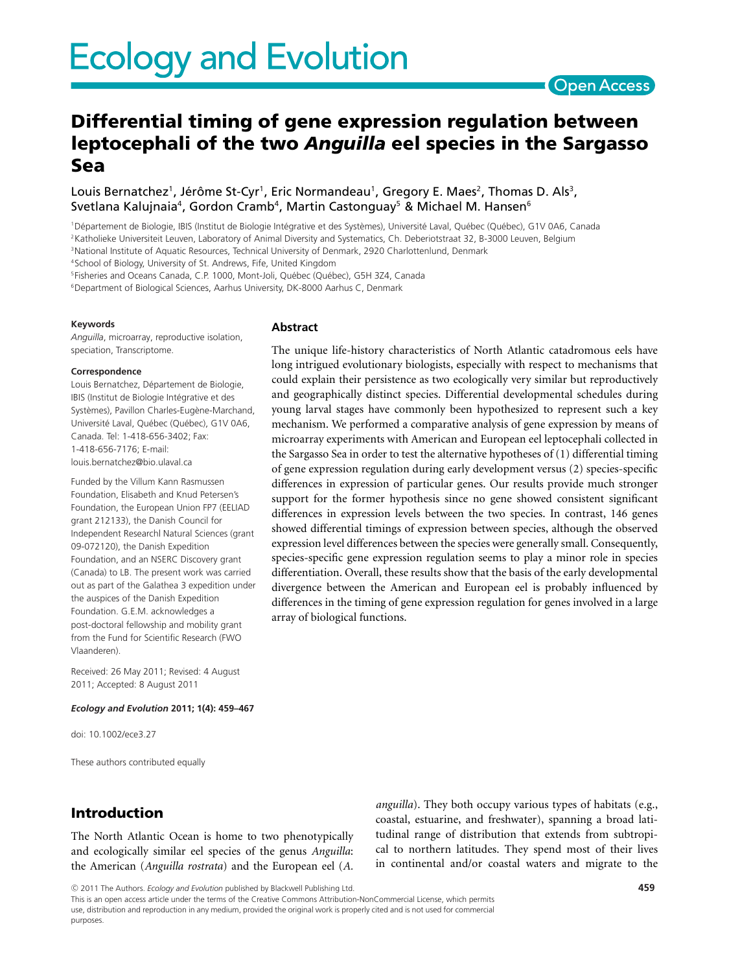# Open Access

# **Differential timing of gene expression regulation between leptocephali of the two** *Anguilla* **eel species in the Sargasso Sea**

The unique life-history characteristics of North Atlantic catadromous eels have long intrigued evolutionary biologists, especially with respect to mechanisms that could explain their persistence as two ecologically very similar but reproductively and geographically distinct species. Differential developmental schedules during young larval stages have commonly been hypothesized to represent such a key mechanism. We performed a comparative analysis of gene expression by means of microarray experiments with American and European eel leptocephali collected in the Sargasso Sea in order to test the alternative hypotheses of (1) differential timing of gene expression regulation during early development versus (2) species-specific differences in expression of particular genes. Our results provide much stronger support for the former hypothesis since no gene showed consistent significant differences in expression levels between the two species. In contrast, 146 genes showed differential timings of expression between species, although the observed expression level differences between the species were generally small. Consequently, species-specific gene expression regulation seems to play a minor role in species differentiation. Overall, these results show that the basis of the early developmental divergence between the American and European eel is probably influenced by differences in the timing of gene expression regulation for genes involved in a large

Louis Bernatchez<sup>1</sup>, Jérôme St-Cyr<sup>1</sup>, Eric Normandeau<sup>1</sup>, Gregory E. Maes<sup>2</sup>, Thomas D. Als<sup>3</sup>, Svetlana Kalujnaia<sup>4</sup>, Gordon Cramb<sup>4</sup>, Martin Castonguay<sup>5</sup> & Michael M. Hansen<sup>6</sup>

<sup>1</sup>Département de Biologie, IBIS (Institut de Biologie Intégrative et des Systèmes), Université Laval, Québec (Québec), G1V 0A6, Canada <sup>2</sup>Katholieke Universiteit Leuven, Laboratory of Animal Diversity and Systematics, Ch. Deberiotstraat 32, B-3000 Leuven, Belgium

array of biological functions.

<sup>3</sup>National Institute of Aquatic Resources, Technical University of Denmark, 2920 Charlottenlund, Denmark

**Abstract**

4School of Biology, University of St. Andrews, Fife, United Kingdom

<sup>5</sup>Fisheries and Oceans Canada, C.P. 1000, Mont-Joli, Québec (Québec), G5H 3Z4, Canada

<sup>6</sup>Department of Biological Sciences, Aarhus University, DK-8000 Aarhus C, Denmark

#### **Keywords**

*Anguilla*, microarray, reproductive isolation, speciation, Transcriptome.

#### **Correspondence**

Louis Bernatchez, Département de Biologie, IBIS (Institut de Biologie Intégrative et des Systèmes), Pavillon Charles-Eugène-Marchand, Université Laval, Québec (Québec), G1V 0A6, Canada. Tel: 1-418-656-3402; Fax: 1-418-656-7176; E-mail: louis.bernatchez@bio.ulaval.ca

Funded by the Villum Kann Rasmussen Foundation, Elisabeth and Knud Petersen's Foundation, the European Union FP7 (EELIAD grant 212133), the Danish Council for Independent Research| Natural Sciences (grant 09-072120), the Danish Expedition Foundation, and an NSERC Discovery grant (Canada) to LB. The present work was carried out as part of the Galathea 3 expedition under the auspices of the Danish Expedition Foundation. G.E.M. acknowledges a post-doctoral fellowship and mobility grant from the Fund for Scientific Research (FWO Vlaanderen).

Received: 26 May 2011; Revised: 4 August 2011; Accepted: 8 August 2011

#### *Ecology and Evolution* **2011; 1(4): 459–467**

doi: 10.1002/ece3.27

These authors contributed equally

# **Introduction**

The North Atlantic Ocean is home to two phenotypically and ecologically similar eel species of the genus *Anguilla*: the American (*Anguilla rostrata*) and the European eel (*A.* *anguilla*). They both occupy various types of habitats (e.g., coastal, estuarine, and freshwater), spanning a broad latitudinal range of distribution that extends from subtropical to northern latitudes. They spend most of their lives in continental and/or coastal waters and migrate to the

-c 2011 The Authors. *Ecology and Evolution* published by Blackwell Publishing Ltd.

This is an open access article under the terms of the Creative Commons Attribution-NonCommercial License, which permits use, distribution and reproduction in any medium, provided the original work is properly cited and is not used for commercial purposes.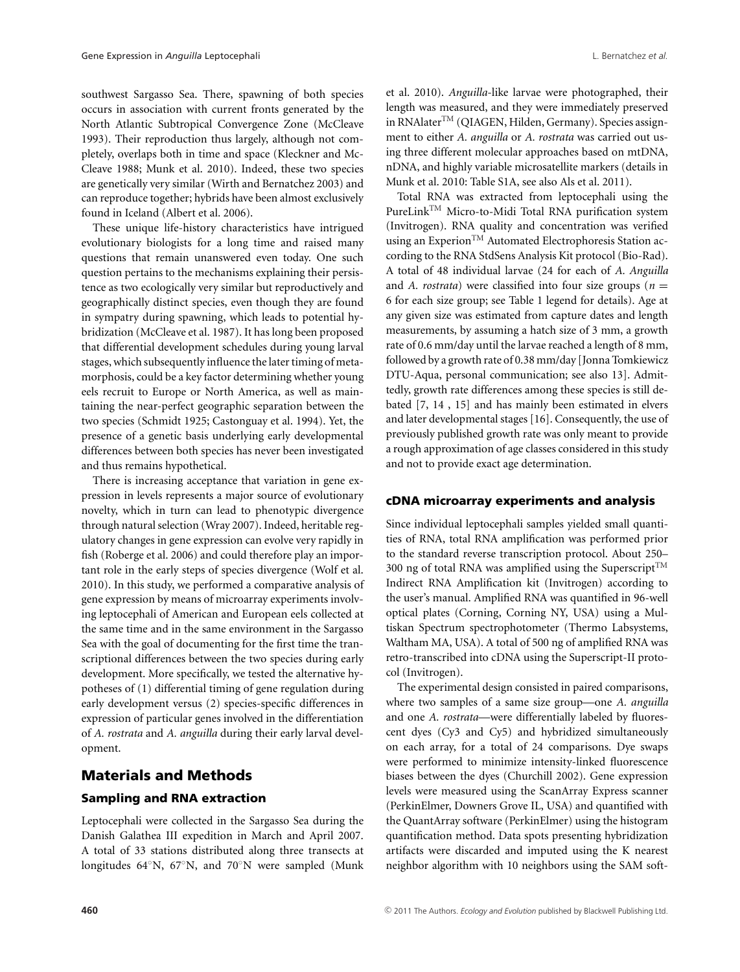southwest Sargasso Sea. There, spawning of both species occurs in association with current fronts generated by the North Atlantic Subtropical Convergence Zone (McCleave 1993). Their reproduction thus largely, although not completely, overlaps both in time and space (Kleckner and Mc-Cleave 1988; Munk et al. 2010). Indeed, these two species are genetically very similar (Wirth and Bernatchez 2003) and can reproduce together; hybrids have been almost exclusively found in Iceland (Albert et al. 2006).

These unique life-history characteristics have intrigued evolutionary biologists for a long time and raised many questions that remain unanswered even today. One such question pertains to the mechanisms explaining their persistence as two ecologically very similar but reproductively and geographically distinct species, even though they are found in sympatry during spawning, which leads to potential hybridization (McCleave et al. 1987). It has long been proposed that differential development schedules during young larval stages, which subsequently influence the later timing of metamorphosis, could be a key factor determining whether young eels recruit to Europe or North America, as well as maintaining the near-perfect geographic separation between the two species (Schmidt 1925; Castonguay et al. 1994). Yet, the presence of a genetic basis underlying early developmental differences between both species has never been investigated and thus remains hypothetical.

There is increasing acceptance that variation in gene expression in levels represents a major source of evolutionary novelty, which in turn can lead to phenotypic divergence through natural selection (Wray 2007). Indeed, heritable regulatory changes in gene expression can evolve very rapidly in fish (Roberge et al. 2006) and could therefore play an important role in the early steps of species divergence (Wolf et al. 2010). In this study, we performed a comparative analysis of gene expression by means of microarray experiments involving leptocephali of American and European eels collected at the same time and in the same environment in the Sargasso Sea with the goal of documenting for the first time the transcriptional differences between the two species during early development. More specifically, we tested the alternative hypotheses of (1) differential timing of gene regulation during early development versus (2) species-specific differences in expression of particular genes involved in the differentiation of *A. rostrata* and *A. anguilla* during their early larval development.

# **Materials and Methods**

### **Sampling and RNA extraction**

Leptocephali were collected in the Sargasso Sea during the Danish Galathea III expedition in March and April 2007. A total of 33 stations distributed along three transects at longitudes 64◦N, 67◦N, and 70◦N were sampled (Munk et al. 2010). *Anguilla*-like larvae were photographed, their length was measured, and they were immediately preserved in RNAlater<sup>TM</sup> (QIAGEN, Hilden, Germany). Species assignment to either *A. anguilla* or *A. rostrata* was carried out using three different molecular approaches based on mtDNA, nDNA, and highly variable microsatellite markers (details in Munk et al. 2010: Table S1A, see also Als et al. 2011).

Total RNA was extracted from leptocephali using the PureLinkTM Micro-to-Midi Total RNA purification system (Invitrogen). RNA quality and concentration was verified using an Experion<sup>TM</sup> Automated Electrophoresis Station according to the RNA StdSens Analysis Kit protocol (Bio-Rad). A total of 48 individual larvae (24 for each of *A. Anguilla* and *A. rostrata*) were classified into four size groups ( $n =$ 6 for each size group; see Table 1 legend for details). Age at any given size was estimated from capture dates and length measurements, by assuming a hatch size of 3 mm, a growth rate of 0.6 mm/day until the larvae reached a length of 8 mm, followed by a growth rate of 0.38 mm/day [Jonna Tomkiewicz DTU-Aqua, personal communication; see also 13]. Admittedly, growth rate differences among these species is still debated [7, 14 , 15] and has mainly been estimated in elvers and later developmental stages [16]. Consequently, the use of previously published growth rate was only meant to provide a rough approximation of age classes considered in this study and not to provide exact age determination.

#### **cDNA microarray experiments and analysis**

Since individual leptocephali samples yielded small quantities of RNA, total RNA amplification was performed prior to the standard reverse transcription protocol. About 250– 300 ng of total RNA was amplified using the Superscript<sup>TM</sup> Indirect RNA Amplification kit (Invitrogen) according to the user's manual. Amplified RNA was quantified in 96-well optical plates (Corning, Corning NY, USA) using a Multiskan Spectrum spectrophotometer (Thermo Labsystems, Waltham MA, USA). A total of 500 ng of amplified RNA was retro-transcribed into cDNA using the Superscript-II protocol (Invitrogen).

The experimental design consisted in paired comparisons, where two samples of a same size group—one *A. anguilla* and one *A. rostrata*—were differentially labeled by fluorescent dyes (Cy3 and Cy5) and hybridized simultaneously on each array, for a total of 24 comparisons. Dye swaps were performed to minimize intensity-linked fluorescence biases between the dyes (Churchill 2002). Gene expression levels were measured using the ScanArray Express scanner (PerkinElmer, Downers Grove IL, USA) and quantified with the QuantArray software (PerkinElmer) using the histogram quantification method. Data spots presenting hybridization artifacts were discarded and imputed using the K nearest neighbor algorithm with 10 neighbors using the SAM soft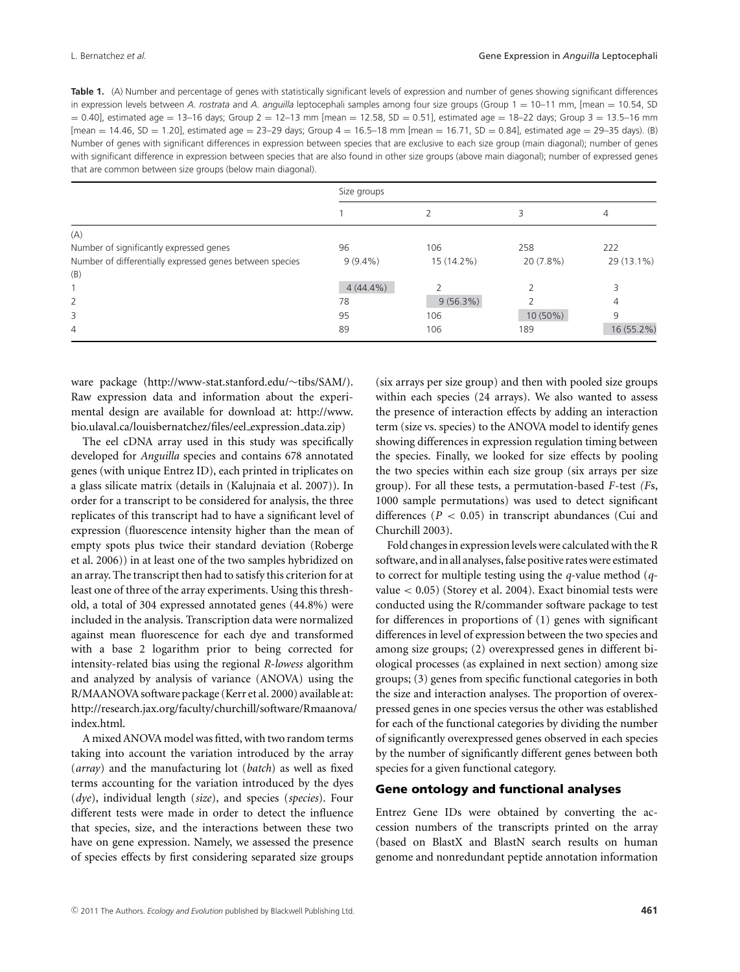**Table 1.** (A) Number and percentage of genes with statistically significant levels of expression and number of genes showing significant differences in expression levels between *A. rostrata* and *A. anguilla* leptocephali samples among four size groups (Group 1 = 10–11 mm, [mean = 10.54, SD  $= 0.40$ ], estimated age  $= 13-16$  days; Group  $2 = 12-13$  mm [mean  $= 12.58$ , SD  $= 0.51$ ], estimated age  $= 18-22$  days; Group  $3 = 13.5-16$  mm  $[mean = 14.46, SD = 1.20]$ , estimated age = 23-29 days; Group  $4 = 16.5-18$  mm  $[mean = 16.71, SD = 0.84]$ , estimated age = 29-35 days). (B) Number of genes with significant differences in expression between species that are exclusive to each size group (main diagonal); number of genes with significant difference in expression between species that are also found in other size groups (above main diagonal); number of expressed genes that are common between size groups (below main diagonal).

|                                                          | Size groups |            |            |            |  |  |
|----------------------------------------------------------|-------------|------------|------------|------------|--|--|
|                                                          |             |            |            | 4          |  |  |
| (A)                                                      |             |            |            |            |  |  |
| Number of significantly expressed genes                  | 96          | 106        | 258        | 222        |  |  |
| Number of differentially expressed genes between species | $9(9.4\%)$  | 15 (14.2%) | 20 (7.8%)  | 29 (13.1%) |  |  |
| (B)                                                      |             |            |            |            |  |  |
|                                                          | $4(44.4\%)$ |            |            | 3          |  |  |
| 2                                                        | 78          | 9(56.3%)   |            | 4          |  |  |
| 3                                                        | 95          | 106        | $10(50\%)$ | 9          |  |  |
| $\overline{4}$                                           | 89          | 106        | 189        | 16 (55.2%) |  |  |

ware package (http://www-stat.stanford.edu/∼tibs/SAM/). Raw expression data and information about the experimental design are available for download at: http://www. bio.ulaval.ca/louisbernatchez/files/eel expression data.zip)

The eel cDNA array used in this study was specifically developed for *Anguilla* species and contains 678 annotated genes (with unique Entrez ID), each printed in triplicates on a glass silicate matrix (details in (Kalujnaia et al. 2007)). In order for a transcript to be considered for analysis, the three replicates of this transcript had to have a significant level of expression (fluorescence intensity higher than the mean of empty spots plus twice their standard deviation (Roberge et al. 2006)) in at least one of the two samples hybridized on an array. The transcript then had to satisfy this criterion for at least one of three of the array experiments. Using this threshold, a total of 304 expressed annotated genes (44.8%) were included in the analysis. Transcription data were normalized against mean fluorescence for each dye and transformed with a base 2 logarithm prior to being corrected for intensity-related bias using the regional *R-lowess* algorithm and analyzed by analysis of variance (ANOVA) using the R/MAANOVA software package (Kerr et al. 2000) available at: http://research.jax.org/faculty/churchill/software/Rmaanova/ index.html.

A mixed ANOVA model was fitted, with two random terms taking into account the variation introduced by the array (*array*) and the manufacturing lot (*batch*) as well as fixed terms accounting for the variation introduced by the dyes (*dye*), individual length (*size*), and species (*species*). Four different tests were made in order to detect the influence that species, size, and the interactions between these two have on gene expression. Namely, we assessed the presence of species effects by first considering separated size groups (six arrays per size group) and then with pooled size groups within each species (24 arrays). We also wanted to assess the presence of interaction effects by adding an interaction term (size vs. species) to the ANOVA model to identify genes showing differences in expression regulation timing between the species. Finally, we looked for size effects by pooling the two species within each size group (six arrays per size group). For all these tests, a permutation-based *F*-test *(F*s, 1000 sample permutations) was used to detect significant differences (*P* < 0.05) in transcript abundances (Cui and Churchill 2003).

Fold changes in expression levels were calculated with the R software, and in all analyses, false positive rates were estimated to correct for multiple testing using the *q*-value method (*q*value < 0.05) (Storey et al. 2004). Exact binomial tests were conducted using the R/commander software package to test for differences in proportions of (1) genes with significant differences in level of expression between the two species and among size groups; (2) overexpressed genes in different biological processes (as explained in next section) among size groups; (3) genes from specific functional categories in both the size and interaction analyses. The proportion of overexpressed genes in one species versus the other was established for each of the functional categories by dividing the number of significantly overexpressed genes observed in each species by the number of significantly different genes between both species for a given functional category.

#### **Gene ontology and functional analyses**

Entrez Gene IDs were obtained by converting the accession numbers of the transcripts printed on the array (based on BlastX and BlastN search results on human genome and nonredundant peptide annotation information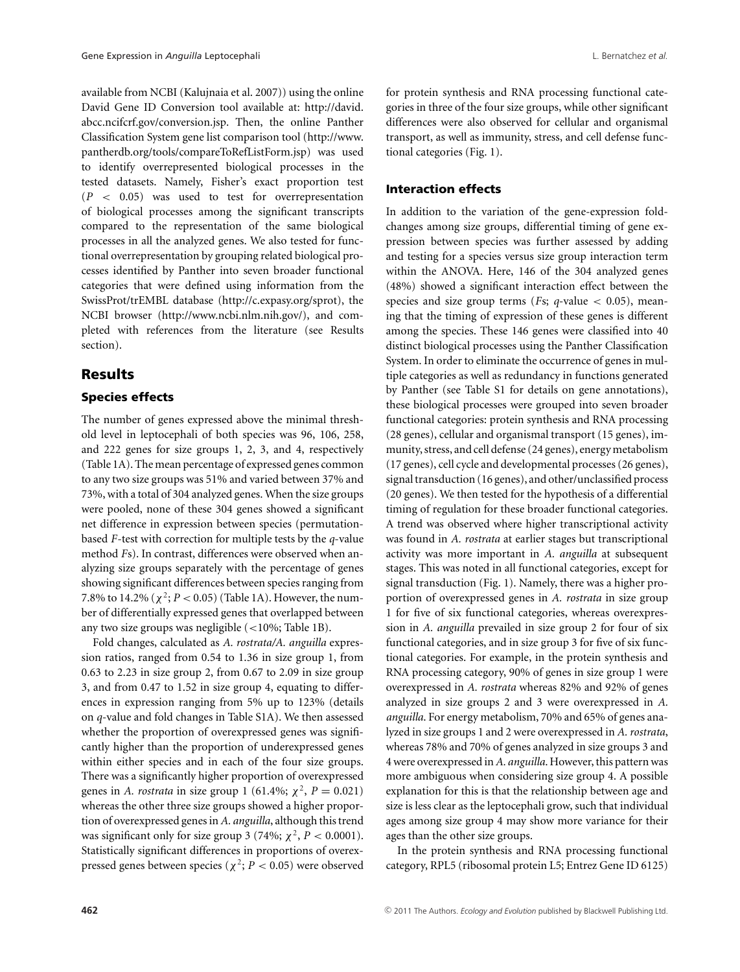available from NCBI (Kalujnaia et al. 2007)) using the online David Gene ID Conversion tool available at: http://david. abcc.ncifcrf.gov/conversion.jsp. Then, the online Panther Classification System gene list comparison tool (http://www. pantherdb.org/tools/compareToRefListForm.jsp) was used to identify overrepresented biological processes in the tested datasets. Namely, Fisher's exact proportion test (*P* < 0.05) was used to test for overrepresentation of biological processes among the significant transcripts compared to the representation of the same biological processes in all the analyzed genes. We also tested for functional overrepresentation by grouping related biological processes identified by Panther into seven broader functional categories that were defined using information from the SwissProt/trEMBL database (http://c.expasy.org/sprot), the NCBI browser (http://www.ncbi.nlm.nih.gov/), and completed with references from the literature (see Results section).

## **Results**

#### **Species effects**

The number of genes expressed above the minimal threshold level in leptocephali of both species was 96, 106, 258, and 222 genes for size groups 1, 2, 3, and 4, respectively (Table 1A). The mean percentage of expressed genes common to any two size groups was 51% and varied between 37% and 73%, with a total of 304 analyzed genes. When the size groups were pooled, none of these 304 genes showed a significant net difference in expression between species (permutationbased *F*-test with correction for multiple tests by the *q*-value method *F*s). In contrast, differences were observed when analyzing size groups separately with the percentage of genes showing significant differences between species ranging from 7.8% to 14.2% ( $\chi^2$ ; *P* < 0.05) (Table 1A). However, the number of differentially expressed genes that overlapped between any two size groups was negligible (<10%; Table 1B).

Fold changes, calculated as *A. rostrata/A. anguilla* expression ratios, ranged from 0.54 to 1.36 in size group 1, from 0.63 to 2.23 in size group 2, from 0.67 to 2.09 in size group 3, and from 0.47 to 1.52 in size group 4, equating to differences in expression ranging from 5% up to 123% (details on *q*-value and fold changes in Table S1A). We then assessed whether the proportion of overexpressed genes was significantly higher than the proportion of underexpressed genes within either species and in each of the four size groups. There was a significantly higher proportion of overexpressed genes in *A. rostrata* in size group 1 (61.4%;  $\chi^2$ , *P* = 0.021) whereas the other three size groups showed a higher proportion of overexpressed genes in *A. anguilla*, although this trend was significant only for size group 3 (74%;  $\chi^2$ ,  $P < 0.0001$ ). Statistically significant differences in proportions of overexpressed genes between species ( $\chi^2$ ; *P* < 0.05) were observed for protein synthesis and RNA processing functional categories in three of the four size groups, while other significant differences were also observed for cellular and organismal transport, as well as immunity, stress, and cell defense functional categories (Fig. 1).

#### **Interaction effects**

In addition to the variation of the gene-expression foldchanges among size groups, differential timing of gene expression between species was further assessed by adding and testing for a species versus size group interaction term within the ANOVA. Here, 146 of the 304 analyzed genes (48%) showed a significant interaction effect between the species and size group terms ( $Fs$ ;  $q$ -value  $\lt$  0.05), meaning that the timing of expression of these genes is different among the species. These 146 genes were classified into 40 distinct biological processes using the Panther Classification System. In order to eliminate the occurrence of genes in multiple categories as well as redundancy in functions generated by Panther (see Table S1 for details on gene annotations), these biological processes were grouped into seven broader functional categories: protein synthesis and RNA processing (28 genes), cellular and organismal transport (15 genes), immunity, stress, and cell defense (24 genes), energy metabolism (17 genes), cell cycle and developmental processes (26 genes), signal transduction (16 genes), and other/unclassified process (20 genes). We then tested for the hypothesis of a differential timing of regulation for these broader functional categories. A trend was observed where higher transcriptional activity was found in *A. rostrata* at earlier stages but transcriptional activity was more important in *A. anguilla* at subsequent stages. This was noted in all functional categories, except for signal transduction (Fig. 1). Namely, there was a higher proportion of overexpressed genes in *A. rostrata* in size group 1 for five of six functional categories, whereas overexpression in *A. anguilla* prevailed in size group 2 for four of six functional categories, and in size group 3 for five of six functional categories. For example, in the protein synthesis and RNA processing category, 90% of genes in size group 1 were overexpressed in *A. rostrata* whereas 82% and 92% of genes analyzed in size groups 2 and 3 were overexpressed in *A. anguilla*. For energy metabolism, 70% and 65% of genes analyzed in size groups 1 and 2 were overexpressed in *A. rostrata*, whereas 78% and 70% of genes analyzed in size groups 3 and 4 were overexpressed in*A. anguilla*. However, this pattern was more ambiguous when considering size group 4. A possible explanation for this is that the relationship between age and size is less clear as the leptocephali grow, such that individual ages among size group 4 may show more variance for their ages than the other size groups.

In the protein synthesis and RNA processing functional category, RPL5 (ribosomal protein L5; Entrez Gene ID 6125)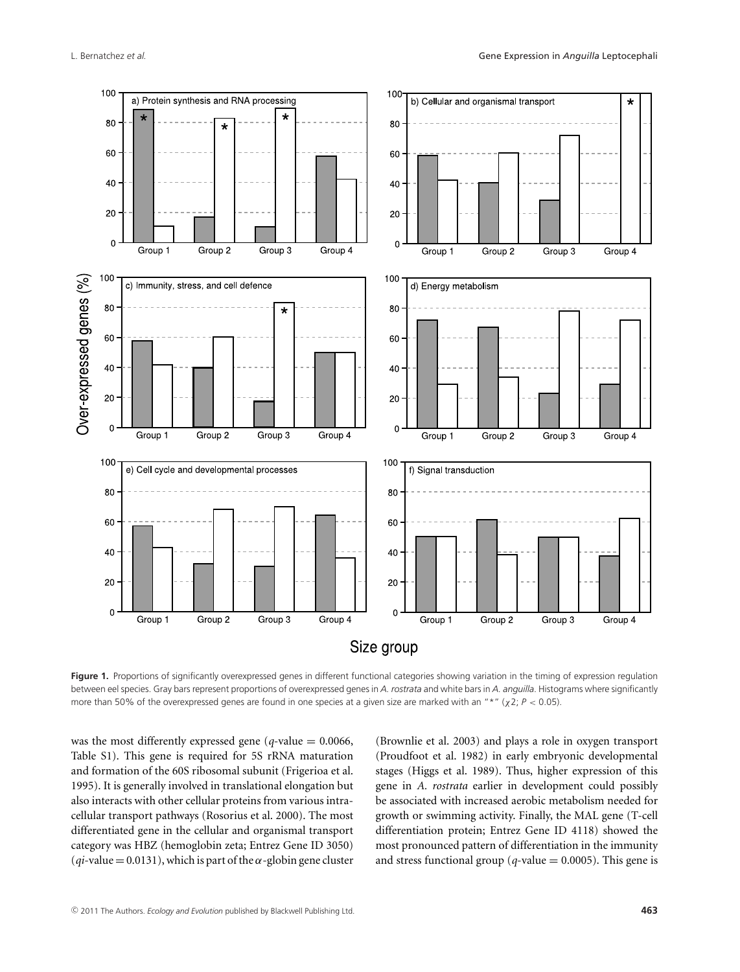

Figure 1. Proportions of significantly overexpressed genes in different functional categories showing variation in the timing of expression regulation between eel species. Gray bars represent proportions of overexpressed genes in *A. rostrata* and white bars in *A. anguilla*. Histograms where significantly more than 50% of the overexpressed genes are found in one species at a given size are marked with an "\*" (χ2; *P* < 0.05).

was the most differently expressed gene ( $q$ -value = 0.0066, Table S1). This gene is required for 5S rRNA maturation and formation of the 60S ribosomal subunit (Frigerioa et al. 1995). It is generally involved in translational elongation but also interacts with other cellular proteins from various intracellular transport pathways (Rosorius et al. 2000). The most differentiated gene in the cellular and organismal transport category was HBZ (hemoglobin zeta; Entrez Gene ID 3050)  $(qi$ -value = 0.0131), which is part of the  $\alpha$ -globin gene cluster (Brownlie et al. 2003) and plays a role in oxygen transport (Proudfoot et al. 1982) in early embryonic developmental stages (Higgs et al. 1989). Thus, higher expression of this gene in *A. rostrata* earlier in development could possibly be associated with increased aerobic metabolism needed for growth or swimming activity. Finally, the MAL gene (T-cell differentiation protein; Entrez Gene ID 4118) showed the most pronounced pattern of differentiation in the immunity and stress functional group ( $q$ -value = 0.0005). This gene is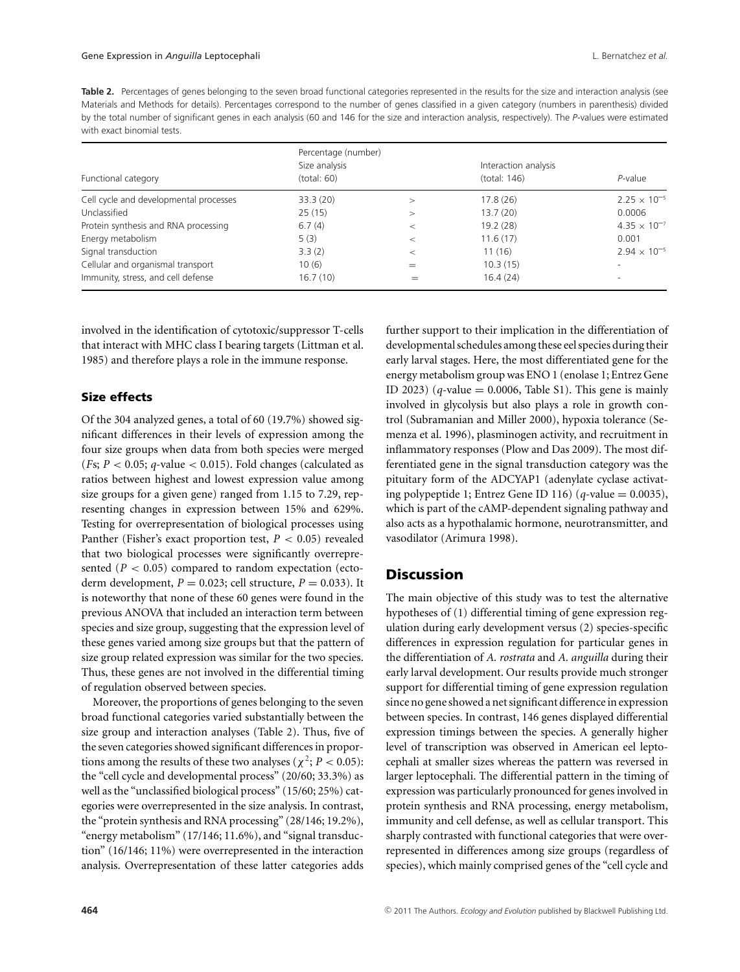Table 2. Percentages of genes belonging to the seven broad functional categories represented in the results for the size and interaction analysis (see Materials and Methods for details). Percentages correspond to the number of genes classified in a given category (numbers in parenthesis) divided by the total number of significant genes in each analysis (60 and 146 for the size and interaction analysis, respectively). The *P*-values were estimated with exact binomial tests.

| Functional category                    | Percentage (number)<br>Size analysis<br>(total: 60) |       | Interaction analysis<br>(total: 146) | $P$ -value               |
|----------------------------------------|-----------------------------------------------------|-------|--------------------------------------|--------------------------|
| Cell cycle and developmental processes | 33.3(20)                                            | $\gt$ | 17.8(26)                             | $2.25 \times 10^{-5}$    |
| Unclassified                           | 25(15)                                              | $\gt$ | 13.7(20)                             | 0.0006                   |
| Protein synthesis and RNA processing   | 6.7(4)                                              | $\,<$ | 19.2(28)                             | $4.35 \times 10^{-7}$    |
| Energy metabolism                      | 5(3)                                                | $\,<$ | 11.6(17)                             | 0.001                    |
| Signal transduction                    | 3.3(2)                                              | $\,<$ | 11 (16)                              | $2.94 \times 10^{-5}$    |
| Cellular and organismal transport      | 10(6)                                               | $=$   | 10.3(15)                             |                          |
| Immunity, stress, and cell defense     | 16.7(10)                                            | $=$   | 16.4(24)                             | $\overline{\phantom{a}}$ |

involved in the identification of cytotoxic/suppressor T-cells that interact with MHC class I bearing targets (Littman et al. 1985) and therefore plays a role in the immune response.

### **Size effects**

Of the 304 analyzed genes, a total of 60 (19.7%) showed significant differences in their levels of expression among the four size groups when data from both species were merged (*F*s; *P* < 0.05; *q*-value < 0.015). Fold changes (calculated as ratios between highest and lowest expression value among size groups for a given gene) ranged from 1.15 to 7.29, representing changes in expression between 15% and 629%. Testing for overrepresentation of biological processes using Panther (Fisher's exact proportion test, *P* < 0.05) revealed that two biological processes were significantly overrepresented  $(P < 0.05)$  compared to random expectation (ectoderm development,  $P = 0.023$ ; cell structure,  $P = 0.033$ ). It is noteworthy that none of these 60 genes were found in the previous ANOVA that included an interaction term between species and size group, suggesting that the expression level of these genes varied among size groups but that the pattern of size group related expression was similar for the two species. Thus, these genes are not involved in the differential timing of regulation observed between species.

Moreover, the proportions of genes belonging to the seven broad functional categories varied substantially between the size group and interaction analyses (Table 2). Thus, five of the seven categories showed significant differences in proportions among the results of these two analyses ( $\chi^2$ ; *P* < 0.05): the "cell cycle and developmental process" (20/60; 33.3%) as well as the "unclassified biological process" (15/60; 25%) categories were overrepresented in the size analysis. In contrast, the "protein synthesis and RNA processing" (28/146; 19.2%), "energy metabolism" (17/146; 11.6%), and "signal transduction" (16/146; 11%) were overrepresented in the interaction analysis. Overrepresentation of these latter categories adds further support to their implication in the differentiation of developmental schedules among these eel species during their early larval stages. Here, the most differentiated gene for the energy metabolism group was ENO 1 (enolase 1; Entrez Gene ID 2023) ( $q$ -value = 0.0006, Table S1). This gene is mainly involved in glycolysis but also plays a role in growth control (Subramanian and Miller 2000), hypoxia tolerance (Semenza et al. 1996), plasminogen activity, and recruitment in inflammatory responses (Plow and Das 2009). The most differentiated gene in the signal transduction category was the pituitary form of the ADCYAP1 (adenylate cyclase activating polypeptide 1; Entrez Gene ID 116) ( $q$ -value = 0.0035), which is part of the cAMP-dependent signaling pathway and also acts as a hypothalamic hormone, neurotransmitter, and vasodilator (Arimura 1998).

## **Discussion**

The main objective of this study was to test the alternative hypotheses of (1) differential timing of gene expression regulation during early development versus (2) species-specific differences in expression regulation for particular genes in the differentiation of *A. rostrata* and *A. anguilla* during their early larval development. Our results provide much stronger support for differential timing of gene expression regulation since no gene showed a net significant difference in expression between species. In contrast, 146 genes displayed differential expression timings between the species. A generally higher level of transcription was observed in American eel leptocephali at smaller sizes whereas the pattern was reversed in larger leptocephali. The differential pattern in the timing of expression was particularly pronounced for genes involved in protein synthesis and RNA processing, energy metabolism, immunity and cell defense, as well as cellular transport. This sharply contrasted with functional categories that were overrepresented in differences among size groups (regardless of species), which mainly comprised genes of the "cell cycle and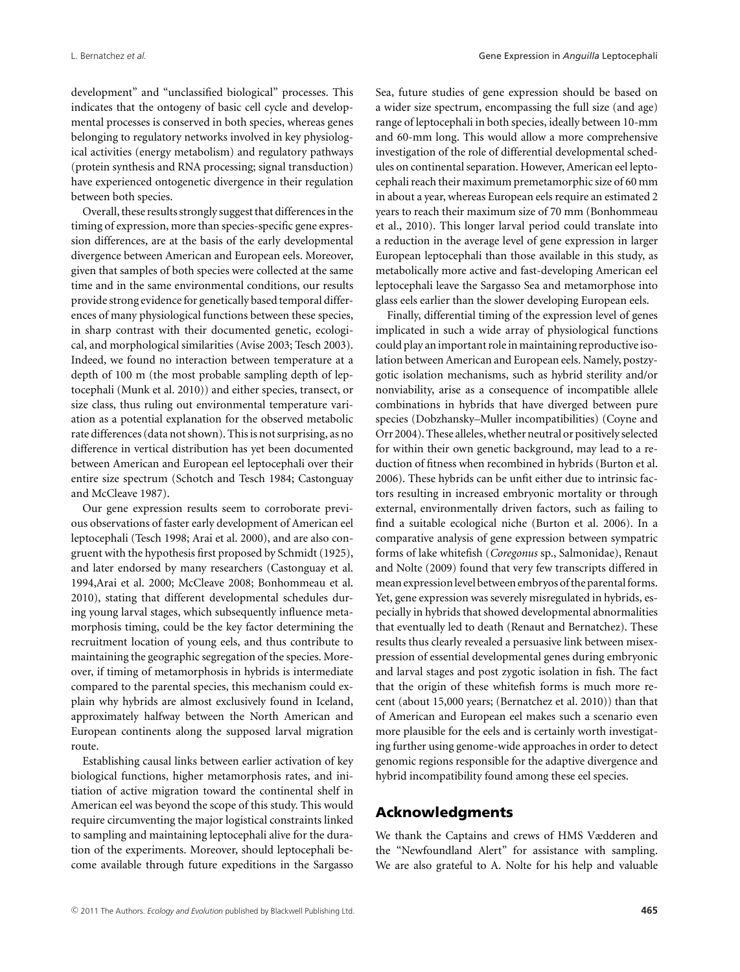development" and "unclassified biological" processes. This indicates that the ontogeny of basic cell cycle and developmental processes is conserved in both species, whereas genes belonging to regulatory networks involved in key physiological activities (energy metabolism) and regulatory pathways (protein synthesis and RNA processing; signal transduction) have experienced ontogenetic divergence in their regulation between both species.

Overall, these results strongly suggest that differences in the timing of expression, more than species-specific gene expression differences, are at the basis of the early developmental divergence between American and European eels. Moreover, given that samples of both species were collected at the same time and in the same environmental conditions, our results provide strong evidence for genetically based temporal differences of many physiological functions between these species, in sharp contrast with their documented genetic, ecological, and morphological similarities (Avise 2003; Tesch 2003). Indeed, we found no interaction between temperature at a depth of 100 m (the most probable sampling depth of leptocephali (Munk et al. 2010)) and either species, transect, or size class, thus ruling out environmental temperature variation as a potential explanation for the observed metabolic rate differences (data not shown). This is not surprising, as no difference in vertical distribution has yet been documented between American and European eel leptocephali over their entire size spectrum (Schotch and Tesch 1984; Castonguay and McCleave 1987).

Our gene expression results seem to corroborate previous observations of faster early development of American eel leptocephali (Tesch 1998; Arai et al. 2000), and are also congruent with the hypothesis first proposed by Schmidt (1925), and later endorsed by many researchers (Castonguay et al. 1994,Arai et al. 2000; McCleave 2008; Bonhommeau et al. 2010), stating that different developmental schedules during young larval stages, which subsequently influence metamorphosis timing, could be the key factor determining the recruitment location of young eels, and thus contribute to maintaining the geographic segregation of the species. Moreover, if timing of metamorphosis in hybrids is intermediate compared to the parental species, this mechanism could explain why hybrids are almost exclusively found in Iceland, approximately halfway between the North American and European continents along the supposed larval migration route.

Establishing causal links between earlier activation of key biological functions, higher metamorphosis rates, and initiation of active migration toward the continental shelf in American eel was beyond the scope of this study. This would require circumventing the major logistical constraints linked to sampling and maintaining leptocephali alive for the duration of the experiments. Moreover, should leptocephali become available through future expeditions in the Sargasso Sea, future studies of gene expression should be based on a wider size spectrum, encompassing the full size (and age) range of leptocephali in both species, ideally between 10-mm and 60-mm long. This would allow a more comprehensive investigation of the role of differential developmental schedules on continental separation. However, American eel leptocephali reach their maximum premetamorphic size of 60 mm in about a year, whereas European eels require an estimated 2 years to reach their maximum size of 70 mm (Bonhommeau et al., 2010). This longer larval period could translate into a reduction in the average level of gene expression in larger European leptocephali than those available in this study, as metabolically more active and fast-developing American eel leptocephali leave the Sargasso Sea and metamorphose into glass eels earlier than the slower developing European eels.

Finally, differential timing of the expression level of genes implicated in such a wide array of physiological functions could play an important role in maintaining reproductive isolation between American and European eels. Namely, postzygotic isolation mechanisms, such as hybrid sterility and/or nonviability, arise as a consequence of incompatible allele combinations in hybrids that have diverged between pure species (Dobzhansky–Muller incompatibilities) (Coyne and Orr 2004). These alleles,whether neutral or positively selected for within their own genetic background, may lead to a reduction of fitness when recombined in hybrids (Burton et al. 2006). These hybrids can be unfit either due to intrinsic factors resulting in increased embryonic mortality or through external, environmentally driven factors, such as failing to find a suitable ecological niche (Burton et al. 2006). In a comparative analysis of gene expression between sympatric forms of lake whitefish (*Coregonus* sp., Salmonidae), Renaut and Nolte (2009) found that very few transcripts differed in mean expression level between embryos of the parental forms. Yet, gene expression was severely misregulated in hybrids, especially in hybrids that showed developmental abnormalities that eventually led to death (Renaut and Bernatchez). These results thus clearly revealed a persuasive link between misexpression of essential developmental genes during embryonic and larval stages and post zygotic isolation in fish. The fact that the origin of these whitefish forms is much more recent (about 15,000 years; (Bernatchez et al. 2010)) than that of American and European eel makes such a scenario even more plausible for the eels and is certainly worth investigating further using genome-wide approaches in order to detect genomic regions responsible for the adaptive divergence and hybrid incompatibility found among these eel species.

# **Acknowledgments**

We thank the Captains and crews of HMS Vædderen and the "Newfoundland Alert" for assistance with sampling. We are also grateful to A. Nolte for his help and valuable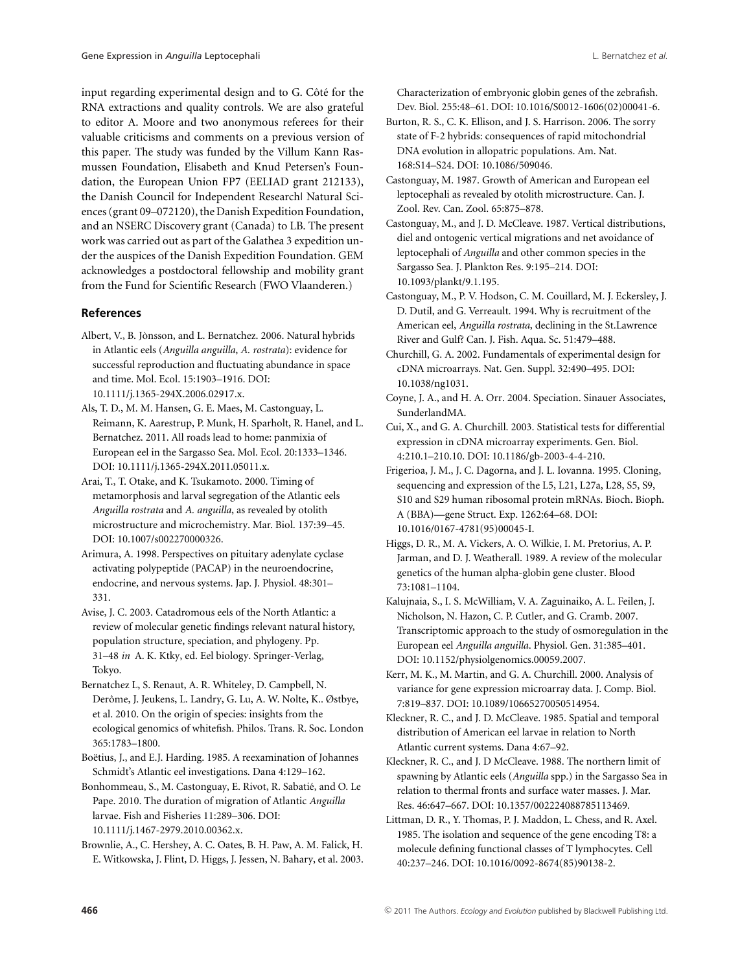input regarding experimental design and to G. Côté for the RNA extractions and quality controls. We are also grateful to editor A. Moore and two anonymous referees for their valuable criticisms and comments on a previous version of this paper. The study was funded by the Villum Kann Rasmussen Foundation, Elisabeth and Knud Petersen's Foundation, the European Union FP7 (EELIAD grant 212133), the Danish Council for Independent Research| Natural Sciences (grant 09–072120), the Danish Expedition Foundation, and an NSERC Discovery grant (Canada) to LB. The present work was carried out as part of the Galathea 3 expedition under the auspices of the Danish Expedition Foundation. GEM acknowledges a postdoctoral fellowship and mobility grant from the Fund for Scientific Research (FWO Vlaanderen.)

#### **References**

- Albert, V., B. Jònsson, and L. Bernatchez. 2006. Natural hybrids in Atlantic eels (*Anguilla anguilla*, *A. rostrata*): evidence for successful reproduction and fluctuating abundance in space and time. Mol. Ecol. 15:1903–1916. DOI: 10.1111/j.1365-294X.2006.02917.x.
- Als, T. D., M. M. Hansen, G. E. Maes, M. Castonguay, L. Reimann, K. Aarestrup, P. Munk, H. Sparholt, R. Hanel, and L. Bernatchez. 2011. All roads lead to home: panmixia of European eel in the Sargasso Sea. Mol. Ecol. 20:1333–1346. DOI: 10.1111/j.1365-294X.2011.05011.x.
- Arai, T., T. Otake, and K. Tsukamoto. 2000. Timing of metamorphosis and larval segregation of the Atlantic eels *Anguilla rostrata* and *A. anguilla*, as revealed by otolith microstructure and microchemistry. Mar. Biol. 137:39–45. DOI: 10.1007/s002270000326.
- Arimura, A. 1998. Perspectives on pituitary adenylate cyclase activating polypeptide (PACAP) in the neuroendocrine, endocrine, and nervous systems. Jap. J. Physiol. 48:301– 331.
- Avise, J. C. 2003. Catadromous eels of the North Atlantic: a review of molecular genetic findings relevant natural history, population structure, speciation, and phylogeny. Pp. 31–48 *in* A. K. Ktky, ed. Eel biology. Springer-Verlag, Tokyo.
- Bernatchez L, S. Renaut, A. R. Whiteley, D. Campbell, N. Derôme, J. Jeukens, L. Landry, G. Lu, A. W. Nolte, K.. Østbye, et al. 2010. On the origin of species: insights from the ecological genomics of whitefish. Philos. Trans. R. Soc. London 365:1783–1800.
- Boëtius, J., and E.J. Harding. 1985. A reexamination of Johannes Schmidt's Atlantic eel investigations. Dana 4:129–162.

Bonhommeau, S., M. Castonguay, E. Rivot, R. Sabatié, and O. Le Pape. 2010. The duration of migration of Atlantic *Anguilla* larvae. Fish and Fisheries 11:289–306. DOI: 10.1111/j.1467-2979.2010.00362.x.

Brownlie, A., C. Hershey, A. C. Oates, B. H. Paw, A. M. Falick, H. E. Witkowska, J. Flint, D. Higgs, J. Jessen, N. Bahary, et al. 2003. Characterization of embryonic globin genes of the zebrafish. Dev. Biol. 255:48–61. DOI: 10.1016/S0012-1606(02)00041-6.

- Burton, R. S., C. K. Ellison, and J. S. Harrison. 2006. The sorry state of F-2 hybrids: consequences of rapid mitochondrial DNA evolution in allopatric populations. Am. Nat. 168:S14–S24. DOI: 10.1086/509046.
- Castonguay, M. 1987. Growth of American and European eel leptocephali as revealed by otolith microstructure. Can. J. Zool. Rev. Can. Zool. 65:875–878.
- Castonguay, M., and J. D. McCleave. 1987. Vertical distributions, diel and ontogenic vertical migrations and net avoidance of leptocephali of *Anguilla* and other common species in the Sargasso Sea. J. Plankton Res. 9:195–214. DOI: 10.1093/plankt/9.1.195.
- Castonguay, M., P. V. Hodson, C. M. Couillard, M. J. Eckersley, J. D. Dutil, and G. Verreault. 1994. Why is recruitment of the American eel, *Anguilla rostrata*, declining in the St.Lawrence River and Gulf? Can. J. Fish. Aqua. Sc. 51:479–488.
- Churchill, G. A. 2002. Fundamentals of experimental design for cDNA microarrays. Nat. Gen. Suppl. 32:490–495. DOI: 10.1038/ng1031.
- Coyne, J. A., and H. A. Orr. 2004. Speciation. Sinauer Associates, SunderlandMA.
- Cui, X., and G. A. Churchill. 2003. Statistical tests for differential expression in cDNA microarray experiments. Gen. Biol. 4:210.1–210.10. DOI: 10.1186/gb-2003-4-4-210.
- Frigerioa, J. M., J. C. Dagorna, and J. L. Iovanna. 1995. Cloning, sequencing and expression of the L5, L21, L27a, L28, S5, S9, S10 and S29 human ribosomal protein mRNAs. Bioch. Bioph. A (BBA)—gene Struct. Exp. 1262:64–68. DOI: 10.1016/0167-4781(95)00045-I.
- Higgs, D. R., M. A. Vickers, A. O. Wilkie, I. M. Pretorius, A. P. Jarman, and D. J. Weatherall. 1989. A review of the molecular genetics of the human alpha-globin gene cluster. Blood 73:1081–1104.
- Kalujnaia, S., I. S. McWilliam, V. A. Zaguinaiko, A. L. Feilen, J. Nicholson, N. Hazon, C. P. Cutler, and G. Cramb. 2007. Transcriptomic approach to the study of osmoregulation in the European eel *Anguilla anguilla*. Physiol. Gen. 31:385–401. DOI: 10.1152/physiolgenomics.00059.2007.

Kerr, M. K., M. Martin, and G. A. Churchill. 2000. Analysis of variance for gene expression microarray data. J. Comp. Biol. 7:819–837. DOI: 10.1089/10665270050514954.

Kleckner, R. C., and J. D. McCleave. 1985. Spatial and temporal distribution of American eel larvae in relation to North Atlantic current systems. Dana 4:67–92.

Kleckner, R. C., and J. D McCleave. 1988. The northern limit of spawning by Atlantic eels (*Anguilla* spp.) in the Sargasso Sea in relation to thermal fronts and surface water masses. J. Mar. Res. 46:647–667. DOI: 10.1357/002224088785113469.

Littman, D. R., Y. Thomas, P. J. Maddon, L. Chess, and R. Axel. 1985. The isolation and sequence of the gene encoding T8: a molecule defining functional classes of T lymphocytes. Cell 40:237–246. DOI: 10.1016/0092-8674(85)90138-2.